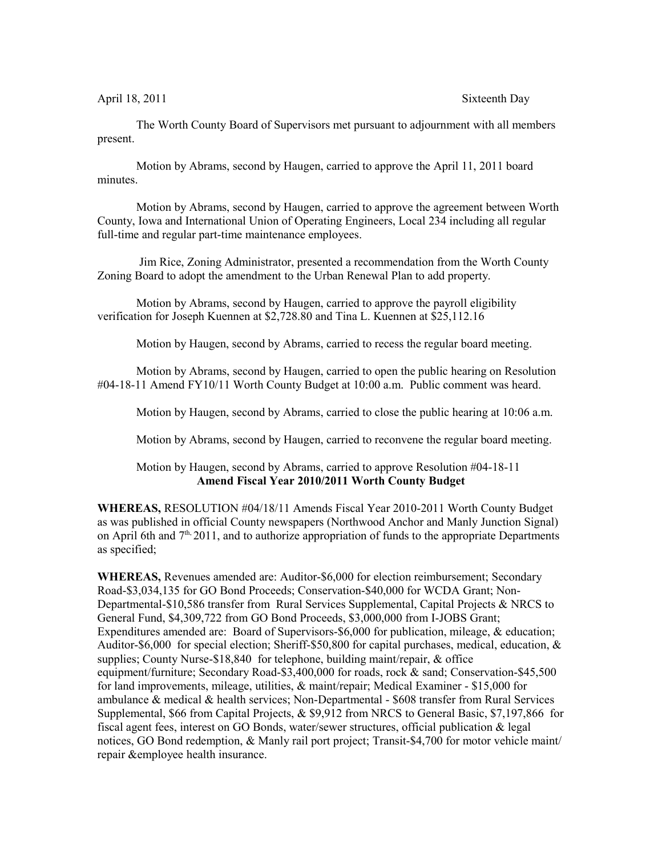April 18, 2011 Sixteenth Day

The Worth County Board of Supervisors met pursuant to adjournment with all members present.

Motion by Abrams, second by Haugen, carried to approve the April 11, 2011 board minutes.

Motion by Abrams, second by Haugen, carried to approve the agreement between Worth County, Iowa and International Union of Operating Engineers, Local 234 including all regular full-time and regular part-time maintenance employees.

 Jim Rice, Zoning Administrator, presented a recommendation from the Worth County Zoning Board to adopt the amendment to the Urban Renewal Plan to add property.

Motion by Abrams, second by Haugen, carried to approve the payroll eligibility verification for Joseph Kuennen at \$2,728.80 and Tina L. Kuennen at \$25,112.16

Motion by Haugen, second by Abrams, carried to recess the regular board meeting.

Motion by Abrams, second by Haugen, carried to open the public hearing on Resolution #04-18-11 Amend FY10/11 Worth County Budget at 10:00 a.m. Public comment was heard.

Motion by Haugen, second by Abrams, carried to close the public hearing at 10:06 a.m.

Motion by Abrams, second by Haugen, carried to reconvene the regular board meeting.

Motion by Haugen, second by Abrams, carried to approve Resolution #04-18-11 **Amend Fiscal Year 2010/2011 Worth County Budget**

**WHEREAS,** RESOLUTION #04/18/11 Amends Fiscal Year 2010-2011 Worth County Budget as was published in official County newspapers (Northwood Anchor and Manly Junction Signal) on April 6th and  $7<sup>th</sup>$ , 2011, and to authorize appropriation of funds to the appropriate Departments as specified;

**WHEREAS,** Revenues amended are: Auditor-\$6,000 for election reimbursement; Secondary Road-\$3,034,135 for GO Bond Proceeds; Conservation-\$40,000 for WCDA Grant; Non-Departmental-\$10,586 transfer from Rural Services Supplemental, Capital Projects & NRCS to General Fund, \$4,309,722 from GO Bond Proceeds, \$3,000,000 from I-JOBS Grant; Expenditures amended are: Board of Supervisors-\$6,000 for publication, mileage, & education; Auditor-\$6,000 for special election; Sheriff-\$50,800 for capital purchases, medical, education, & supplies; County Nurse-\$18,840 for telephone, building maint/repair, & office equipment/furniture; Secondary Road-\$3,400,000 for roads, rock & sand; Conservation-\$45,500 for land improvements, mileage, utilities, & maint/repair; Medical Examiner - \$15,000 for ambulance & medical & health services; Non-Departmental - \$608 transfer from Rural Services Supplemental, \$66 from Capital Projects, & \$9,912 from NRCS to General Basic, \$7,197,866 for fiscal agent fees, interest on GO Bonds, water/sewer structures, official publication & legal notices, GO Bond redemption, & Manly rail port project; Transit-\$4,700 for motor vehicle maint/ repair &employee health insurance.